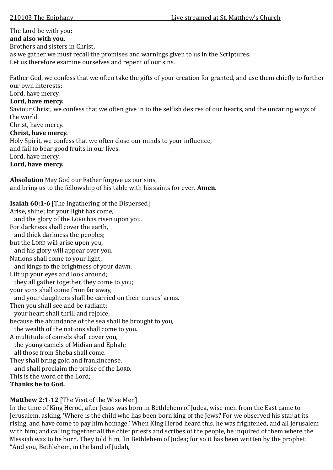# The Lord be with you:

## **and also with you**.

Brothers and sisters in Christ,

as we gather we must recall the promises and warnings given to us in the Scriptures.

Let us therefore examine ourselves and repent of our sins.

Father God, we confess that we often take the gifts of your creation for granted, and use them chiefly to further our own interests:

Lord, have mercy.

# **Lord, have mercy.**

Saviour Christ, we confess that we often give in to the selfish desires of our hearts, and the uncaring ways of the world.

Christ, have mercy.

# **Christ, have mercy.**

Holy Spirit, we confess that we often close our minds to your influence,

and fail to bear good fruits in our lives.

Lord, have mercy.

**Lord, have mercy.** 

**Absolution** May God our Father forgive us our sins, and bring us to the fellowship of his table with his saints for ever. **Amen**.

**Isaiah 60:1-6** [The Ingathering of the Dispersed]

Arise, shine; for your light has come,

and the glory of the LORD has risen upon you.

For darkness shall cover the earth,

and thick darkness the peoples;

but the LORD will arise upon you,

and his glory will appear over you.

Nations shall come to your light,

and kings to the brightness of your dawn.

Lift up your eyes and look around;

they all gather together, they come to you;

your sons shall come from far away,

and your daughters shall be carried on their nurses' arms.

Then you shall see and be radiant;

your heart shall thrill and rejoice,

because the abundance of the sea shall be brought to you,

the wealth of the nations shall come to you.

A multitude of camels shall cover you, the young camels of Midian and Ephah; all those from Sheba shall come.

They shall bring gold and frankincense,

 and shall proclaim the praise of the LORD. This is the word of the Lord;

**Thanks be to God.**

# **Matthew 2:1-12** [The Visit of the Wise Men]

In the time of King Herod, after Jesus was born in Bethlehem of Judea, wise men from the East came to Jerusalem, asking, 'Where is the child who has been born king of the Jews? For we observed his star at its rising, and have come to pay him homage.' When King Herod heard this, he was frightened, and all Jerusalem with him; and calling together all the chief priests and scribes of the people, he inquired of them where the Messiah was to be born. They told him, 'In Bethlehem of Judea; for so it has been written by the prophet: "And you, Bethlehem, in the land of Judah,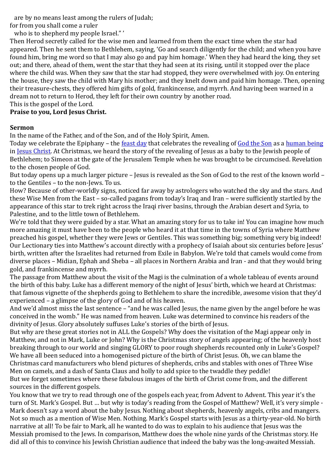are by no means least among the rulers of Judah;

for from you shall come a ruler

who is to shepherd my people Israel." '

Then Herod secretly called for the wise men and learned from them the exact time when the star had appeared. Then he sent them to Bethlehem, saying, 'Go and search diligently for the child; and when you have found him, bring me word so that I may also go and pay him homage.' When they had heard the king, they set out; and there, ahead of them, went the star that they had seen at its rising, until it stopped over the place where the child was. When they saw that the star had stopped, they were overwhelmed with joy. On entering the house, they saw the child with Mary his mother; and they knelt down and paid him homage. Then, opening their treasure-chests, they offered him gifts of gold, frankincense, and myrrh. And having been warned in a dream not to return to Herod, they left for their own country by another road.

This is the gospel of the Lord.

### **Praise to you, Lord Jesus Christ.**

#### **Sermon**

In the name of the Father, and of the Son, and of the Holy Spirit, Amen.

Today we celebrate the Epiphany – the [feast day](http://en.wikipedia.org/wiki/Feast_day) that celebrates the revealing of [God the Son](http://en.wikipedia.org/wiki/God_the_Son) as a [human being](http://en.wikipedia.org/wiki/Incarnation_(Christianity)) in [Jesus Christ.](http://en.wikipedia.org/wiki/Jesus_Christ) At Christmas, we heard the story of the revealing of Jesus as a baby to the Jewish people of Bethlehem; to Simeon at the gate of the Jerusalem Temple when he was brought to be circumcised. Revelation to the chosen people of God.

But today opens up a much larger picture – Jesus is revealed as the Son of God to the rest of the known world – to the Gentiles – to the non-Jews. To us.

How? Because of other-worldly signs, noticed far away by astrologers who watched the sky and the stars. And these Wise Men from the East – so-called pagans from today's Iraq and Iran – were sufficiently startled by the appearance of this star to trek right across the Iraqi river basins, through the Arabian desert and Syria, to Palestine, and to the little town of Bethlehem.

We're told that they were guided by a star. What an amazing story for us to take in! You can imagine how much more amazing it must have been to the people who heard it at that time in the towns of Syria where Matthew preached his gospel, whether they were Jews or Gentiles. This was something big; something very big indeed! Our Lectionary ties into Matthew's account directly with a prophecy of Isaiah about six centuries before Jesus' birth, written after the Israelites had returned from Exile in Babylon. We're told that camels would come from diverse places – Midian, Ephah and Sheba – all places in Northern Arabia and Iran - and that they would bring gold, and frankincense and myrrh.

The passage from Matthew about the visit of the Magi is the culmination of a whole tableau of events around the birth of this baby. Luke has a different memory of the night of Jesus' birth, which we heard at Christmas: that famous vignette of the shepherds going to Bethlehem to share the incredible, awesome vision that they'd experienced – a glimpse of the glory of God and of his heaven.

And we'd almost miss the last sentence – "and he was called Jesus, the name given by the angel before he was conceived in the womb." He was named from heaven. Luke was determined to convince his readers of the divinity of Jesus. Glory absolutely suffuses Luke's stories of the birth of Jesus.

But why are these great stories not in ALL the Gospels? Why does the visitation of the Magi appear only in Matthew, and not in Mark, Luke or John? Why is the Christmas story of angels appearing; of the heavenly host breaking through to our world and singing GLORY to poor rough shepherds recounted only in Luke's Gospel? We have all been seduced into a homogenised picture of the birth of Christ Jesus. Oh, we can blame the Christmas card manufacturers who blend pictures of shepherds, cribs and stables with ones of Three Wise Men on camels, and a dash of Santa Claus and holly to add spice to the twaddle they peddle! But we forget sometimes where these fabulous images of the birth of Christ come from, and the different sources in the different gospels.

You know that we try to read through one of the gospels each year, from Advent to Advent. This year it's the turn of St. Mark's Gospel. But … but why is today's reading from the Gospel of Matthew? Well, it's very simple - Mark doesn't say a word about the baby Jesus. Nothing about shepherds, heavenly angels, cribs and mangers. Not so much as a mention of Wise Men. Nothing. Mark's Gospel starts with Jesus as a thirty-year-old. No birth narrative at all! To be fair to Mark, all he wanted to do was to explain to his audience that Jesus was the Messiah promised to the Jews. In comparison, Matthew does the whole nine yards of the Christmas story. He did all of this to convince his Jewish Christian audience that indeed the baby was the long-awaited Messiah.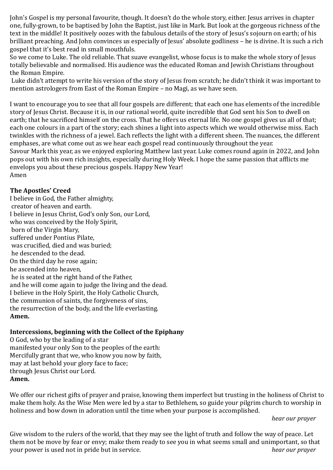John's Gospel is my personal favourite, though. It doesn't do the whole story, either. Jesus arrives in chapter one, fully-grown, to be baptised by John the Baptist, just like in Mark. But look at the gorgeous richness of the text in the middle! It positively oozes with the fabulous details of the story of Jesus's sojourn on earth; of his brilliant preaching. And John convinces us especially of Jesus' absolute godliness – he is divine. It is such a rich gospel that it's best read in small mouthfuls.

So we come to Luke. The old reliable. That suave evangelist, whose focus is to make the whole story of Jesus totally believable and normalised. His audience was the educated Roman and Jewish Christians throughout the Roman Empire.

Luke didn't attempt to write his version of the story of Jesus from scratch; he didn't think it was important to mention astrologers from East of the Roman Empire – no Magi, as we have seen.

I want to encourage you to see that all four gospels are different; that each one has elements of the incredible story of Jesus Christ. Because it is, in our rational world, quite incredible that God sent his Son to dwell on earth; that he sacrificed himself on the cross. That he offers us eternal life. No one gospel gives us all of that; each one colours in a part of the story; each shines a light into aspects which we would otherwise miss. Each twinkles with the richness of a jewel. Each reflects the light with a different sheen. The nuances, the different emphases, are what come out as we hear each gospel read continuously throughout the year.

Savour Mark this year, as we enjoyed exploring Matthew last year. Luke comes round again in 2022, and John pops out with his own rich insights, especially during Holy Week. I hope the same passion that afflicts me envelops you about these precious gospels. Happy New Year! Amen

#### **The Apostles' Creed**

I believe in God, the Father almighty, creator of heaven and earth. I believe in Jesus Christ, God's only Son, our Lord, who was conceived by the Holy Spirit, born of the Virgin Mary, suffered under Pontius Pilate, was crucified, died and was buried; he descended to the dead. On the third day he rose again; he ascended into heaven, he is seated at the right hand of the Father, and he will come again to judge the living and the dead. I believe in the Holy Spirit, the Holy Catholic Church, the communion of saints, the forgiveness of sins, the resurrection of the body, and the life everlasting. **Amen.** 

#### **Intercessions, beginning with the Collect of the Epiphany**

O God, who by the leading of a star manifested your only Son to the peoples of the earth: Mercifully grant that we, who know you now by faith, may at last behold your glory face to face; through Jesus Christ our Lord. **Amen.**

We offer our richest gifts of prayer and praise, knowing them imperfect but trusting in the holiness of Christ to make them holy. As the Wise Men were led by a star to Bethlehem, so guide your pilgrim church to worship in holiness and bow down in adoration until the time when your purpose is accomplished.

*hear our prayer*

Give wisdom to the rulers of the world, that they may see the light of truth and follow the way of peace. Let them not be move by fear or envy; make them ready to see you in what seems small and unimportant, so that your power is used not in pride but in service. *hear our prayer*